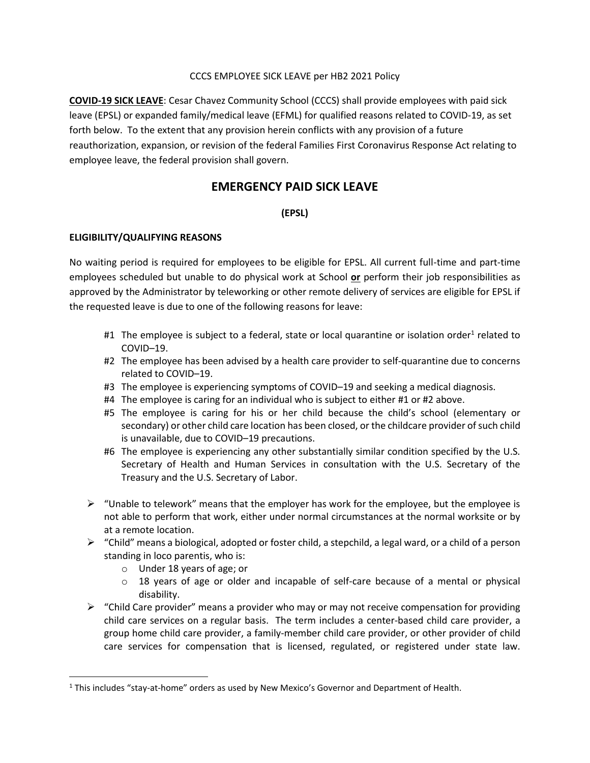#### CCCS EMPLOYEE SICK LEAVE per HB2 2021 Policy

**COVID-19 SICK LEAVE**: Cesar Chavez Community School (CCCS) shall provide employees with paid sick leave (EPSL) or expanded family/medical leave (EFML) for qualified reasons related to COVID-19, as set forth below. To the extent that any provision herein conflicts with any provision of a future reauthorization, expansion, or revision of the federal Families First Coronavirus Response Act relating to employee leave, the federal provision shall govern.

# **EMERGENCY PAID SICK LEAVE**

## **(EPSL)**

### **ELIGIBILITY/QUALIFYING REASONS**

No waiting period is required for employees to be eligible for EPSL. All current full-time and part-time employees scheduled but unable to do physical work at School **or** perform their job responsibilities as approved by the Administrator by teleworking or other remote delivery of services are eligible for EPSL if the requested leave is due to one of the following reasons for leave:

- #1 The employee is subject to a federal, state or local quarantine or isolation order<sup>1</sup> related to COVID–19.
- #2 The employee has been advised by a health care provider to self-quarantine due to concerns related to COVID–19.
- #3 The employee is experiencing symptoms of COVID–19 and seeking a medical diagnosis.
- #4 The employee is caring for an individual who is subject to either #1 or #2 above.
- #5 The employee is caring for his or her child because the child's school (elementary or secondary) or other child care location has been closed, or the childcare provider of such child is unavailable, due to COVID–19 precautions.
- #6 The employee is experiencing any other substantially similar condition specified by the U.S. Secretary of Health and Human Services in consultation with the U.S. Secretary of the Treasury and the U.S. Secretary of Labor.
- $\triangleright$  "Unable to telework" means that the employer has work for the employee, but the employee is not able to perform that work, either under normal circumstances at the normal worksite or by at a remote location.
- $\triangleright$  "Child" means a biological, adopted or foster child, a stepchild, a legal ward, or a child of a person standing in loco parentis, who is:
	- o Under 18 years of age; or
	- o 18 years of age or older and incapable of self-care because of a mental or physical disability.
- $\triangleright$  "Child Care provider" means a provider who may or may not receive compensation for providing child care services on a regular basis. The term includes a center-based child care provider, a group home child care provider, a family-member child care provider, or other provider of child care services for compensation that is licensed, regulated, or registered under state law.

<sup>1</sup> This includes "stay-at-home" orders as used by New Mexico's Governor and Department of Health.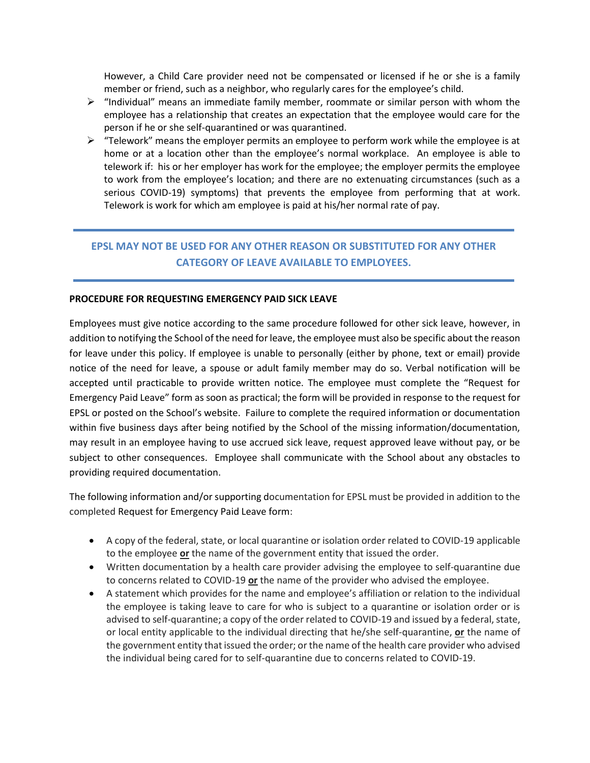However, a Child Care provider need not be compensated or licensed if he or she is a family member or friend, such as a neighbor, who regularly cares for the employee's child.

- $\triangleright$  "Individual" means an immediate family member, roommate or similar person with whom the employee has a relationship that creates an expectation that the employee would care for the person if he or she self-quarantined or was quarantined.
- $\triangleright$  "Telework" means the employer permits an employee to perform work while the employee is at home or at a location other than the employee's normal workplace. An employee is able to telework if: his or her employer has work for the employee; the employer permits the employee to work from the employee's location; and there are no extenuating circumstances (such as a serious COVID-19) symptoms) that prevents the employee from performing that at work. Telework is work for which am employee is paid at his/her normal rate of pay.

# **EPSL MAY NOT BE USED FOR ANY OTHER REASON OR SUBSTITUTED FOR ANY OTHER CATEGORY OF LEAVE AVAILABLE TO EMPLOYEES.**

#### **PROCEDURE FOR REQUESTING EMERGENCY PAID SICK LEAVE**

Employees must give notice according to the same procedure followed for other sick leave, however, in addition to notifying the School of the need for leave, the employee must also be specific about the reason for leave under this policy. If employee is unable to personally (either by phone, text or email) provide notice of the need for leave, a spouse or adult family member may do so. Verbal notification will be accepted until practicable to provide written notice. The employee must complete the "Request for Emergency Paid Leave" form as soon as practical; the form will be provided in response to the request for EPSL or posted on the School's website. Failure to complete the required information or documentation within five business days after being notified by the School of the missing information/documentation, may result in an employee having to use accrued sick leave, request approved leave without pay, or be subject to other consequences. Employee shall communicate with the School about any obstacles to providing required documentation.

The following information and/or supporting documentation for EPSL must be provided in addition to the completed Request for Emergency Paid Leave form:

- A copy of the federal, state, or local quarantine or isolation order related to COVID-19 applicable to the employee **or** the name of the government entity that issued the order.
- Written documentation by a health care provider advising the employee to self-quarantine due to concerns related to COVID-19 **or** the name of the provider who advised the employee.
- A statement which provides for the name and employee's affiliation or relation to the individual the employee is taking leave to care for who is subject to a quarantine or isolation order or is advised to self-quarantine; a copy of the order related to COVID-19 and issued by a federal, state, or local entity applicable to the individual directing that he/she self-quarantine, **or** the name of the government entity that issued the order; or the name of the health care provider who advised the individual being cared for to self-quarantine due to concerns related to COVID-19.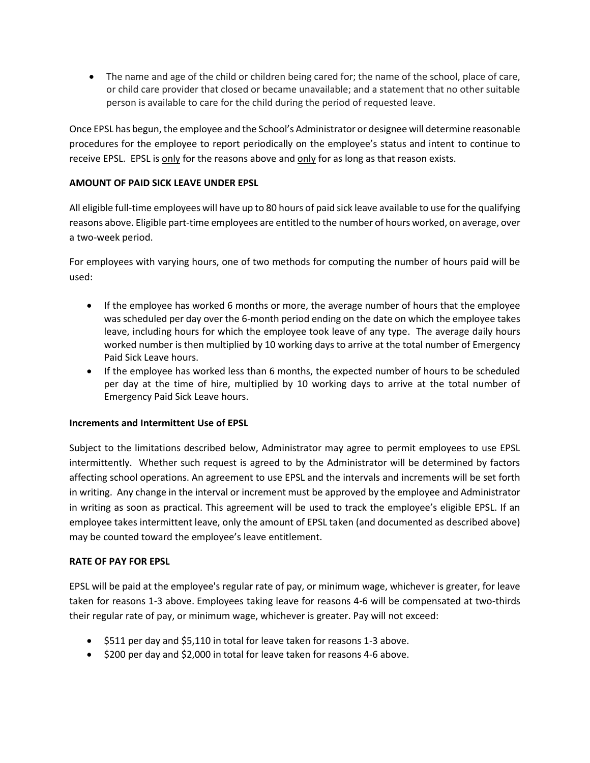• The name and age of the child or children being cared for; the name of the school, place of care, or child care provider that closed or became unavailable; and a statement that no other suitable person is available to care for the child during the period of requested leave.

Once EPSL has begun, the employee and the School's Administrator or designee will determine reasonable procedures for the employee to report periodically on the employee's status and intent to continue to receive EPSL. EPSL is only for the reasons above and only for as long as that reason exists.

## **AMOUNT OF PAID SICK LEAVE UNDER EPSL**

All eligible full-time employees will have up to 80 hours of paid sick leave available to use for the qualifying reasons above. Eligible part-time employees are entitled to the number of hours worked, on average, over a two-week period.

For employees with varying hours, one of two methods for computing the number of hours paid will be used:

- If the employee has worked 6 months or more, the average number of hours that the employee was scheduled per day over the 6-month period ending on the date on which the employee takes leave, including hours for which the employee took leave of any type. The average daily hours worked number is then multiplied by 10 working days to arrive at the total number of Emergency Paid Sick Leave hours.
- If the employee has worked less than 6 months, the expected number of hours to be scheduled per day at the time of hire, multiplied by 10 working days to arrive at the total number of Emergency Paid Sick Leave hours.

### **Increments and Intermittent Use of EPSL**

Subject to the limitations described below, Administrator may agree to permit employees to use EPSL intermittently. Whether such request is agreed to by the Administrator will be determined by factors affecting school operations. An agreement to use EPSL and the intervals and increments will be set forth in writing. Any change in the interval or increment must be approved by the employee and Administrator in writing as soon as practical. This agreement will be used to track the employee's eligible EPSL. If an employee takes intermittent leave, only the amount of EPSL taken (and documented as described above) may be counted toward the employee's leave entitlement.

### **RATE OF PAY FOR EPSL**

EPSL will be paid at the employee's regular rate of pay, or minimum wage, whichever is greater, for leave taken for reasons 1-3 above. Employees taking leave for reasons 4-6 will be compensated at two-thirds their regular rate of pay, or minimum wage, whichever is greater. Pay will not exceed:

- \$511 per day and \$5,110 in total for leave taken for reasons 1-3 above.
- \$200 per day and \$2,000 in total for leave taken for reasons 4-6 above.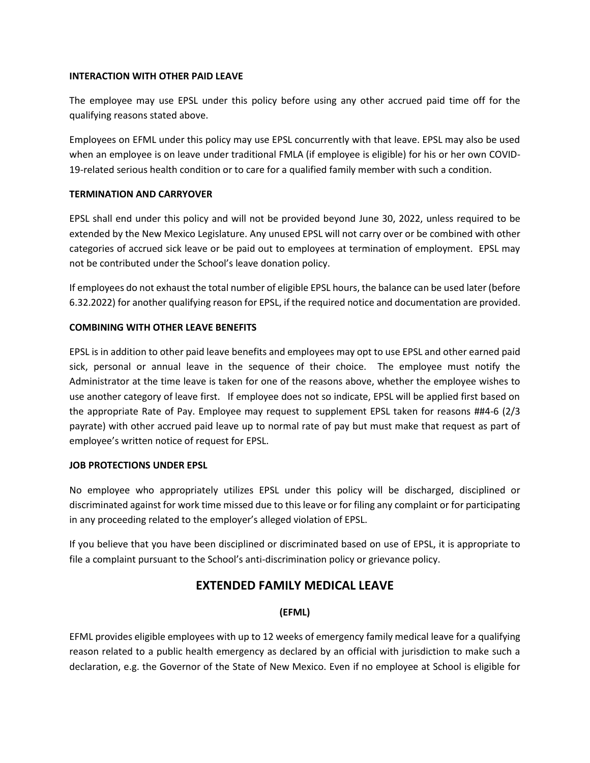#### **INTERACTION WITH OTHER PAID LEAVE**

The employee may use EPSL under this policy before using any other accrued paid time off for the qualifying reasons stated above.

Employees on EFML under this policy may use EPSL concurrently with that leave. EPSL may also be used when an employee is on leave under traditional FMLA (if employee is eligible) for his or her own COVID-19-related serious health condition or to care for a qualified family member with such a condition.

### **TERMINATION AND CARRYOVER**

EPSL shall end under this policy and will not be provided beyond June 30, 2022, unless required to be extended by the New Mexico Legislature. Any unused EPSL will not carry over or be combined with other categories of accrued sick leave or be paid out to employees at termination of employment. EPSL may not be contributed under the School's leave donation policy.

If employees do not exhaust the total number of eligible EPSL hours, the balance can be used later (before 6.32.2022) for another qualifying reason for EPSL, if the required notice and documentation are provided.

## **COMBINING WITH OTHER LEAVE BENEFITS**

EPSL is in addition to other paid leave benefits and employees may opt to use EPSL and other earned paid sick, personal or annual leave in the sequence of their choice. The employee must notify the Administrator at the time leave is taken for one of the reasons above, whether the employee wishes to use another category of leave first. If employee does not so indicate, EPSL will be applied first based on the appropriate Rate of Pay. Employee may request to supplement EPSL taken for reasons ##4-6 (2/3 payrate) with other accrued paid leave up to normal rate of pay but must make that request as part of employee's written notice of request for EPSL.

### **JOB PROTECTIONS UNDER EPSL**

No employee who appropriately utilizes EPSL under this policy will be discharged, disciplined or discriminated against for work time missed due to this leave or for filing any complaint or for participating in any proceeding related to the employer's alleged violation of EPSL.

If you believe that you have been disciplined or discriminated based on use of EPSL, it is appropriate to file a complaint pursuant to the School's anti-discrimination policy or grievance policy.

# **EXTENDED FAMILY MEDICAL LEAVE**

### **(EFML)**

EFML provides eligible employees with up to 12 weeks of emergency family medical leave for a qualifying reason related to a public health emergency as declared by an official with jurisdiction to make such a declaration, e.g. the Governor of the State of New Mexico. Even if no employee at School is eligible for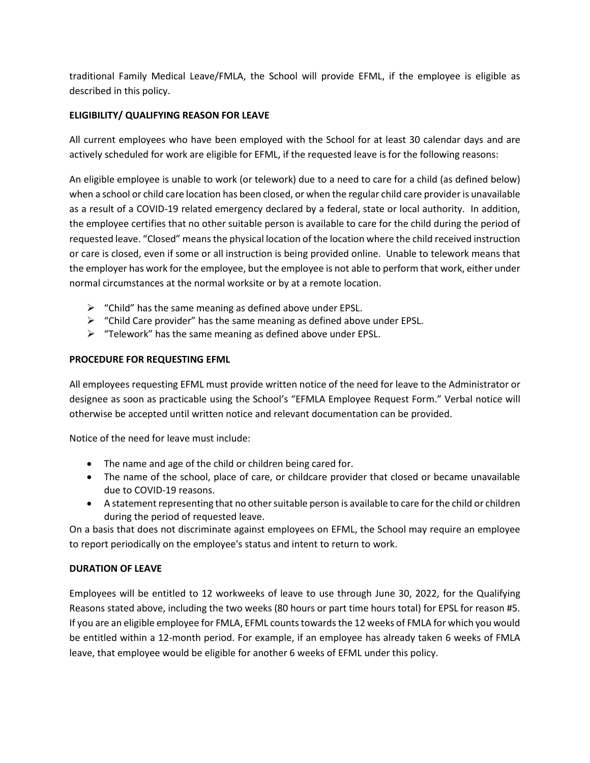traditional Family Medical Leave/FMLA, the School will provide EFML, if the employee is eligible as described in this policy.

# **ELIGIBILITY/ QUALIFYING REASON FOR LEAVE**

All current employees who have been employed with the School for at least 30 calendar days and are actively scheduled for work are eligible for EFML, if the requested leave is for the following reasons:

An eligible employee is unable to work (or telework) due to a need to care for a child (as defined below) when a school or child care location has been closed, or when the regular child care provider is unavailable as a result of a COVID-19 related emergency declared by a federal, state or local authority. In addition, the employee certifies that no other suitable person is available to care for the child during the period of requested leave. "Closed" means the physical location of the location where the child received instruction or care is closed, even if some or all instruction is being provided online. Unable to telework means that the employer has work for the employee, but the employee is not able to perform that work, either under normal circumstances at the normal worksite or by at a remote location.

- $\triangleright$  "Child" has the same meaning as defined above under EPSL.
- $\triangleright$  "Child Care provider" has the same meaning as defined above under EPSL.
- ➢ "Telework" has the same meaning as defined above under EPSL.

## **PROCEDURE FOR REQUESTING EFML**

All employees requesting EFML must provide written notice of the need for leave to the Administrator or designee as soon as practicable using the School's "EFMLA Employee Request Form." Verbal notice will otherwise be accepted until written notice and relevant documentation can be provided.

Notice of the need for leave must include:

- The name and age of the child or children being cared for.
- The name of the school, place of care, or childcare provider that closed or became unavailable due to COVID-19 reasons.
- A statement representing that no other suitable person is available to care for the child or children during the period of requested leave.

On a basis that does not discriminate against employees on EFML, the School may require an employee to report periodically on the employee's status and intent to return to work.

## **DURATION OF LEAVE**

Employees will be entitled to 12 workweeks of leave to use through June 30, 2022, for the Qualifying Reasons stated above, including the two weeks (80 hours or part time hours total) for EPSL for reason #5. If you are an eligible employee for FMLA, EFML counts towards the 12 weeks of FMLA for which you would be entitled within a 12-month period. For example, if an employee has already taken 6 weeks of FMLA leave, that employee would be eligible for another 6 weeks of EFML under this policy.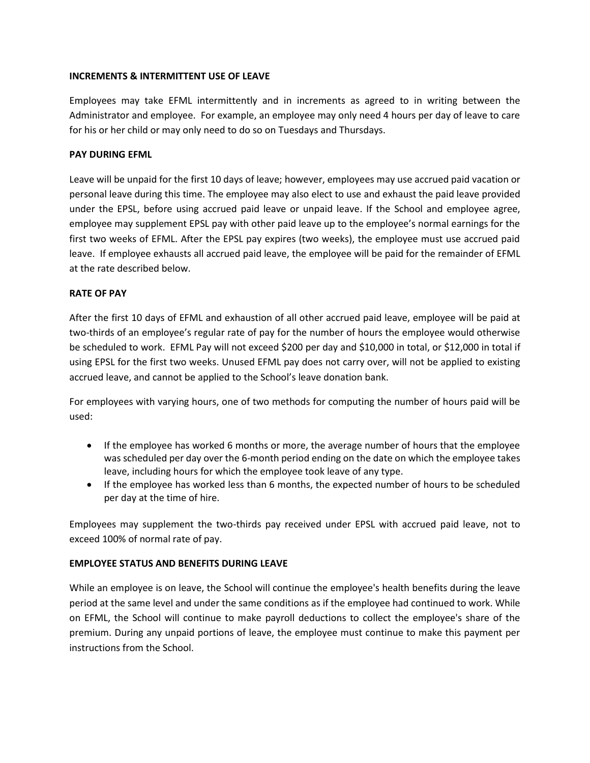#### **INCREMENTS & INTERMITTENT USE OF LEAVE**

Employees may take EFML intermittently and in increments as agreed to in writing between the Administrator and employee. For example, an employee may only need 4 hours per day of leave to care for his or her child or may only need to do so on Tuesdays and Thursdays.

#### **PAY DURING EFML**

Leave will be unpaid for the first 10 days of leave; however, employees may use accrued paid vacation or personal leave during this time. The employee may also elect to use and exhaust the paid leave provided under the EPSL, before using accrued paid leave or unpaid leave. If the School and employee agree, employee may supplement EPSL pay with other paid leave up to the employee's normal earnings for the first two weeks of EFML. After the EPSL pay expires (two weeks), the employee must use accrued paid leave. If employee exhausts all accrued paid leave, the employee will be paid for the remainder of EFML at the rate described below.

#### **RATE OF PAY**

After the first 10 days of EFML and exhaustion of all other accrued paid leave, employee will be paid at two-thirds of an employee's regular rate of pay for the number of hours the employee would otherwise be scheduled to work. EFML Pay will not exceed \$200 per day and \$10,000 in total, or \$12,000 in total if using EPSL for the first two weeks. Unused EFML pay does not carry over, will not be applied to existing accrued leave, and cannot be applied to the School's leave donation bank.

For employees with varying hours, one of two methods for computing the number of hours paid will be used:

- If the employee has worked 6 months or more, the average number of hours that the employee was scheduled per day over the 6-month period ending on the date on which the employee takes leave, including hours for which the employee took leave of any type.
- If the employee has worked less than 6 months, the expected number of hours to be scheduled per day at the time of hire.

Employees may supplement the two-thirds pay received under EPSL with accrued paid leave, not to exceed 100% of normal rate of pay.

### **EMPLOYEE STATUS AND BENEFITS DURING LEAVE**

While an employee is on leave, the School will continue the employee's health benefits during the leave period at the same level and under the same conditions as if the employee had continued to work. While on EFML, the School will continue to make payroll deductions to collect the employee's share of the premium. During any unpaid portions of leave, the employee must continue to make this payment per instructions from the School.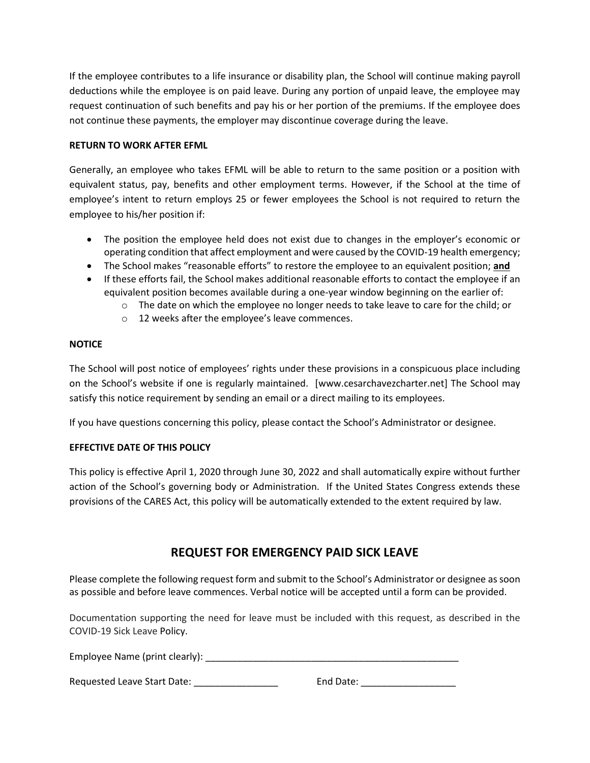If the employee contributes to a life insurance or disability plan, the School will continue making payroll deductions while the employee is on paid leave. During any portion of unpaid leave, the employee may request continuation of such benefits and pay his or her portion of the premiums. If the employee does not continue these payments, the employer may discontinue coverage during the leave.

### **RETURN TO WORK AFTER EFML**

Generally, an employee who takes EFML will be able to return to the same position or a position with equivalent status, pay, benefits and other employment terms. However, if the School at the time of employee's intent to return employs 25 or fewer employees the School is not required to return the employee to his/her position if:

- The position the employee held does not exist due to changes in the employer's economic or operating condition that affect employment and were caused by the COVID-19 health emergency;
- The School makes "reasonable efforts" to restore the employee to an equivalent position; **and**
- If these efforts fail, the School makes additional reasonable efforts to contact the employee if an equivalent position becomes available during a one-year window beginning on the earlier of:
	- $\circ$  The date on which the employee no longer needs to take leave to care for the child; or
	- o 12 weeks after the employee's leave commences.

## **NOTICE**

The School will post notice of employees' rights under these provisions in a conspicuous place including on the School's website if one is regularly maintained. [www.cesarchavezcharter.net] The School may satisfy this notice requirement by sending an email or a direct mailing to its employees.

If you have questions concerning this policy, please contact the School's Administrator or designee.

## **EFFECTIVE DATE OF THIS POLICY**

This policy is effective April 1, 2020 through June 30, 2022 and shall automatically expire without further action of the School's governing body or Administration. If the United States Congress extends these provisions of the CARES Act, this policy will be automatically extended to the extent required by law.

# **REQUEST FOR EMERGENCY PAID SICK LEAVE**

Please complete the following request form and submit to the School's Administrator or designee as soon as possible and before leave commences. Verbal notice will be accepted until a form can be provided.

Documentation supporting the need for leave must be included with this request, as described in the COVID-19 Sick Leave Policy.

Employee Name (print clearly): \_\_\_\_\_\_\_\_\_\_\_\_\_\_\_\_\_\_\_\_\_\_\_\_\_\_\_\_\_\_\_\_\_\_\_\_\_\_\_\_\_\_\_\_\_\_\_\_

Requested Leave Start Date: \_\_\_\_\_\_\_\_\_\_\_\_\_\_\_\_ End Date: \_\_\_\_\_\_\_\_\_\_\_\_\_\_\_\_\_\_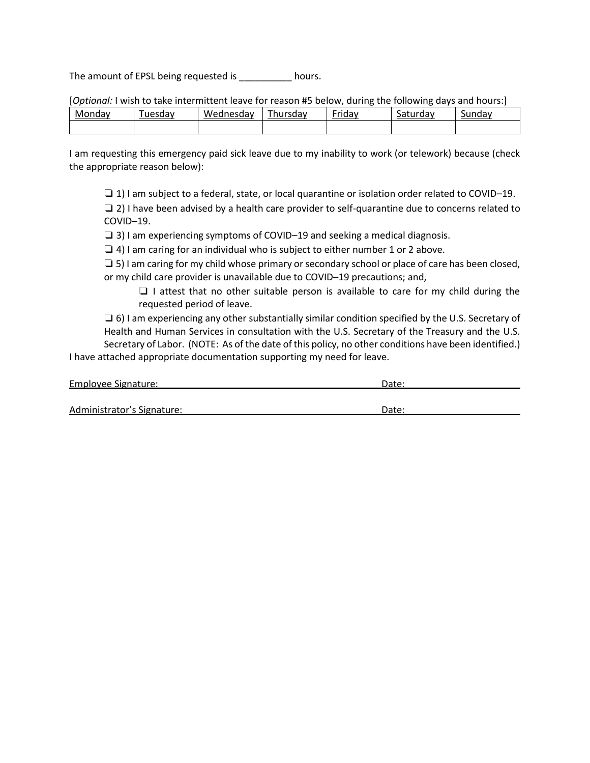The amount of EPSL being requested is \_\_\_\_\_\_\_\_\_\_ hours.

[*Optional:* I wish to take intermittent leave for reason #5 below, during the following days and hours:]

| max<br>M.<br>uud | uesdav | Wednesdav | -<br><sup>-</sup> hursdav | $ \cdot$<br>$\cdots$<br>r.<br>. .udv | --<br>$$ aan<br>Jа<br>. uav<br>. . u . | ndav<br>Ju |
|------------------|--------|-----------|---------------------------|--------------------------------------|----------------------------------------|------------|
|                  |        |           |                           |                                      |                                        |            |

I am requesting this emergency paid sick leave due to my inability to work (or telework) because (check the appropriate reason below):

❏ 1) I am subject to a federal, state, or local quarantine or isolation order related to COVID–19.

 $\Box$  2) I have been advised by a health care provider to self-quarantine due to concerns related to COVID–19.

❏ 3) I am experiencing symptoms of COVID–19 and seeking a medical diagnosis.

❏ 4) I am caring for an individual who is subject to either number 1 or 2 above.

 $\square$  5) I am caring for my child whose primary or secondary school or place of care has been closed, or my child care provider is unavailable due to COVID–19 precautions; and,

❏ I attest that no other suitable person is available to care for my child during the requested period of leave.

 $\Box$  6) I am experiencing any other substantially similar condition specified by the U.S. Secretary of Health and Human Services in consultation with the U.S. Secretary of the Treasury and the U.S. Secretary of Labor. (NOTE: As of the date of this policy, no other conditions have been identified.)

I have attached appropriate documentation supporting my need for leave.

| Employee Signature:        | Date |  |  |
|----------------------------|------|--|--|
|                            |      |  |  |
| Administrator's Signature: | Date |  |  |